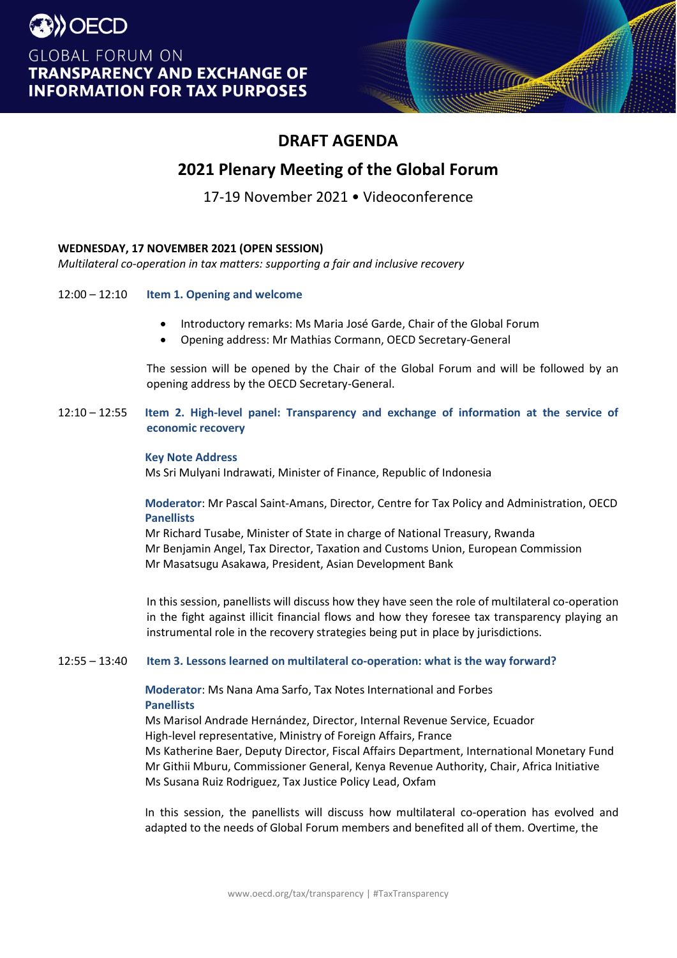# AGENDA

Traction

# 2021 Plenary Meeting of the Global Forum 17-19 November 2021 { s ] } } y ( Œ )

# WEDNESDAY, 17 NOVEMBER 2021 (OPEN SESSION)

Multilateral co-operation in tax matters: supporting a fair and inclusive recovery

- 12:00 t12:10 Item 1. Opening and welcome
	- x Introductory remarks: Ms MariaJosé Garde, Chair of the Global Forum
	- x Opening address: Mr Mathias Cormann, OECD Secretary-General

The session will be opened by the Chair of the Global Forum and will be followed by an opening address by the OECD Secretary-General.

 $12.10$   $112.55$ Item 2. High-level panel: Transparency and exchange of information at the service of economic recovery

# **Key Note Address**

D.Sri Mulyani Indrawati, Minister of Finance, Republic of Indonesia

Moderator: Mr Pascal SaintAmans, Director, Centre for Tax Policy and Administration, OECD Panellists

 $D \times Z$ ]  $Zd \mu \rightarrow D |v| \cdot \dot{S} \times L$  } (  $\dot{S} \times \dot{S}$  ] v  $Z \times P$ , R)  $\dot{\phi}$  nd  $\dot{B} \times \dot{S}$  3 ] } v o d (  $\cdot \mathsf{u} \times$ Mr Benjamin Angel, Tax Director, Taxation and Customs Union, European Commission Mr Masatsugu Asakawa, President, Asian Development Bank

In this session, panellists will discuss how they have seen the role of multilateral co-operation in the fight against illicit financial flows and how they foresee tax transparency playing an instrumental role in the recovery strategies being put in place by jurisdictions

12:55 t13:40 Item 3. Lessons learned on multilateral co-operation: what is the way forward?

> Moderator: Ms Nana Ama Sarfo, Tax Notes International and Forbes **Panellists**

 $DX & \& \& v \mid Z \mid \cdot \& \& \& U \mid D \mid v \mid \cdot \& \& \& \&$ o P š (} Œ & } Œ | P v d  $D|V| \cdot$  \$ HEEC  $\mu$  (E } ‰ V & U) Œ& CEP W (€ À DE •}  $(F \cdot \cdot$  $D \cdot D$  (E  $\vert \cdot \rangle$  o v (E , CEV v ÌU ]CE Š}CEU /vš CEV o ZÀ \ Ms Katherine Baer, Deputy Director, Fiscal Affairs Department, International Monetary Fund Mr Githii Mburu, Commissioner General, Kenya Revenue Authority, Chair, Africa Initiative Ms Susana RuizRodriguez, Tax JusticePolicy Lead, Oxfam

In this session, the panellists will discuss how multilateral co-operation has evolved and adapted to the needs of Global Forum members and benefited all of them. Overtime, the 'o} o & }  $E \mu u Z \cdot \dot{\sigma} E$  v  $P \dot{\sigma} Z$  v v š | 0 } Œ  $\upharpoonright$   $\dot{\mathsf{S}}$  •  $\bullet$   $\upharpoonright$   $\%$   $\%$   $\circ$   $\lozenge$   $\circ$   $\downarrow$   $\circ$   $\downarrow$   $\circ$